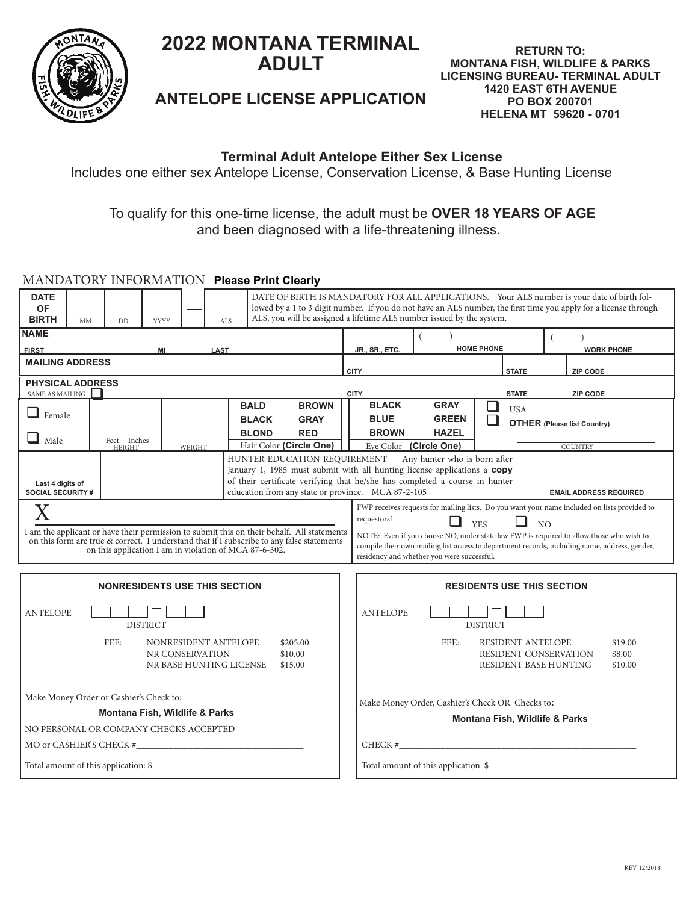

# **2022 MONTANA TERMINAL ADULT**

**RETURN TO: MONTANA FISH, WILDLIFE & PARKS LICENSING BUREAU- TERMINAL ADULT 1420 EAST 6TH AVENUE PO BOX 200701 HELENA MT 59620 - 0701**

# **ANTELOPE LICENSE APPLICATION**

### **Terminal Adult Antelope Either Sex License**

Includes one either sex Antelope License, Conservation License, & Base Hunting License

### To qualify for this one-time license, the adult must be **OVER 18 YEARS OF AGE** and been diagnosed with a life-threatening illness.

#### MANDATORY INFORMATION **Please Print Clearly**

| <b>DATE</b><br><b>OF</b><br><b>BIRTH</b>                                                                     | <b>MM</b>                         | <b>DD</b>                       | <b>YYYY</b> | <b>ALS</b> | DATE OF BIRTH IS MANDATORY FOR ALL APPLICATIONS. Your ALS number is your date of birth fol-<br>lowed by a 1 to 3 digit number. If you do not have an ALS number, the first time you apply for a license through<br>ALS, you will be assigned a lifetime ALS number issued by the system.                    |                                                                                                                                                                                         |                                                                                                                                                                                                                                                                                                  |                                                 |             |  |              |                                    |                   |  |  |
|--------------------------------------------------------------------------------------------------------------|-----------------------------------|---------------------------------|-------------|------------|-------------------------------------------------------------------------------------------------------------------------------------------------------------------------------------------------------------------------------------------------------------------------------------------------------------|-----------------------------------------------------------------------------------------------------------------------------------------------------------------------------------------|--------------------------------------------------------------------------------------------------------------------------------------------------------------------------------------------------------------------------------------------------------------------------------------------------|-------------------------------------------------|-------------|--|--------------|------------------------------------|-------------------|--|--|
| <b>NAME</b>                                                                                                  |                                   |                                 |             |            |                                                                                                                                                                                                                                                                                                             |                                                                                                                                                                                         |                                                                                                                                                                                                                                                                                                  |                                                 |             |  |              |                                    |                   |  |  |
| <b>FIRST</b><br>MI<br><b>LAST</b>                                                                            |                                   |                                 |             |            |                                                                                                                                                                                                                                                                                                             | JR., SR., ETC.                                                                                                                                                                          | <b>HOME PHONE</b>                                                                                                                                                                                                                                                                                |                                                 |             |  |              |                                    | <b>WORK PHONE</b> |  |  |
| <b>MAILING ADDRESS</b>                                                                                       |                                   |                                 |             |            |                                                                                                                                                                                                                                                                                                             |                                                                                                                                                                                         | <b>CITY</b>                                                                                                                                                                                                                                                                                      |                                                 |             |  | <b>STATE</b> |                                    | ZIP CODE          |  |  |
| <b>PHYSICAL ADDRESS</b><br>SAME AS MAILING                                                                   | <b>CITY</b>                       | <b>STATE</b><br><b>ZIP CODE</b> |             |            |                                                                                                                                                                                                                                                                                                             |                                                                                                                                                                                         |                                                                                                                                                                                                                                                                                                  |                                                 |             |  |              |                                    |                   |  |  |
|                                                                                                              |                                   |                                 |             |            | <b>BALD</b>                                                                                                                                                                                                                                                                                                 | <b>BROWN</b>                                                                                                                                                                            | <b>BLACK</b>                                                                                                                                                                                                                                                                                     |                                                 | <b>GRAY</b> |  | <b>USA</b>   |                                    |                   |  |  |
| $\Box$ Female                                                                                                |                                   |                                 |             |            | <b>BLACK</b>                                                                                                                                                                                                                                                                                                | <b>GRAY</b>                                                                                                                                                                             | <b>BLUE</b>                                                                                                                                                                                                                                                                                      | <b>GREEN</b>                                    |             |  |              | <b>OTHER</b> (Please list Country) |                   |  |  |
| $\Box$ Male                                                                                                  |                                   | Feet Inches                     |             |            | <b>BLOND</b>                                                                                                                                                                                                                                                                                                | <b>RED</b>                                                                                                                                                                              | <b>BROWN</b>                                                                                                                                                                                                                                                                                     | <b>HAZEL</b>                                    |             |  |              |                                    |                   |  |  |
|                                                                                                              |                                   | <b>HEIGHT</b>                   |             | WEIGHT     |                                                                                                                                                                                                                                                                                                             | Hair Color (Circle One)                                                                                                                                                                 | Eye Color (Circle One)                                                                                                                                                                                                                                                                           |                                                 |             |  |              | <b>COUNTRY</b>                     |                   |  |  |
| Last 4 digits of<br><b>SOCIAL SECURITY #</b>                                                                 |                                   |                                 |             |            | HUNTER EDUCATION REQUIREMENT Any hunter who is born after<br>January 1, 1985 must submit with all hunting license applications a copy<br>of their certificate verifying that he/she has completed a course in hunter<br>education from any state or province. MCA 87-2-105<br><b>EMAIL ADDRESS REQUIRED</b> |                                                                                                                                                                                         |                                                                                                                                                                                                                                                                                                  |                                                 |             |  |              |                                    |                   |  |  |
|                                                                                                              |                                   |                                 |             |            |                                                                                                                                                                                                                                                                                                             | FWP receives requests for mailing lists. Do you want your name included on lists provided to                                                                                            |                                                                                                                                                                                                                                                                                                  |                                                 |             |  |              |                                    |                   |  |  |
|                                                                                                              |                                   |                                 |             |            | on this application I am in violation of MCA 87-6-302.                                                                                                                                                                                                                                                      | I am the applicant or have their permission to submit this on their behalf. All statements<br>on this form are true & correct. I understand that if I subscribe to any false statements | requestors?<br>$\blacksquare$<br>ப<br><b>YES</b><br>NO<br>NOTE: Even if you choose NO, under state law FWP is required to allow those who wish to<br>compile their own mailing list access to department records, including name, address, gender,<br>residency and whether you were successful. |                                                 |             |  |              |                                    |                   |  |  |
|                                                                                                              | <b>RESIDENTS USE THIS SECTION</b> |                                 |             |            |                                                                                                                                                                                                                                                                                                             |                                                                                                                                                                                         |                                                                                                                                                                                                                                                                                                  |                                                 |             |  |              |                                    |                   |  |  |
| <b>ANTELOPE</b>                                                                                              |                                   | <b>DISTRICT</b>                 |             |            |                                                                                                                                                                                                                                                                                                             |                                                                                                                                                                                         | <b>ANTELOPE</b>                                                                                                                                                                                                                                                                                  | <b>DISTRICT</b>                                 |             |  |              |                                    |                   |  |  |
| FEE:<br>NONRESIDENT ANTELOPE<br>\$205.00<br>NR CONSERVATION<br>\$10.00<br>NR BASE HUNTING LICENSE<br>\$15.00 |                                   |                                 |             |            |                                                                                                                                                                                                                                                                                                             |                                                                                                                                                                                         | FEE::<br>RESIDENT ANTELOPE<br>\$19.00<br>RESIDENT CONSERVATION<br>\$8.00<br>RESIDENT BASE HUNTING<br>\$10.00                                                                                                                                                                                     |                                                 |             |  |              |                                    |                   |  |  |
|                                                                                                              |                                   |                                 |             |            |                                                                                                                                                                                                                                                                                                             |                                                                                                                                                                                         |                                                                                                                                                                                                                                                                                                  |                                                 |             |  |              |                                    |                   |  |  |
| Make Money Order or Cashier's Check to:<br>Montana Fish, Wildlife & Parks                                    |                                   |                                 |             |            |                                                                                                                                                                                                                                                                                                             |                                                                                                                                                                                         |                                                                                                                                                                                                                                                                                                  | Make Money Order, Cashier's Check OR Checks to: |             |  |              |                                    |                   |  |  |
| NO PERSONAL OR COMPANY CHECKS ACCEPTED                                                                       |                                   |                                 |             |            |                                                                                                                                                                                                                                                                                                             |                                                                                                                                                                                         |                                                                                                                                                                                                                                                                                                  | Montana Fish, Wildlife & Parks                  |             |  |              |                                    |                   |  |  |
|                                                                                                              |                                   |                                 |             |            |                                                                                                                                                                                                                                                                                                             |                                                                                                                                                                                         |                                                                                                                                                                                                                                                                                                  |                                                 |             |  |              |                                    |                   |  |  |
|                                                                                                              |                                   |                                 |             |            |                                                                                                                                                                                                                                                                                                             |                                                                                                                                                                                         |                                                                                                                                                                                                                                                                                                  |                                                 |             |  |              |                                    |                   |  |  |
|                                                                                                              |                                   |                                 |             |            |                                                                                                                                                                                                                                                                                                             |                                                                                                                                                                                         |                                                                                                                                                                                                                                                                                                  |                                                 |             |  |              |                                    |                   |  |  |